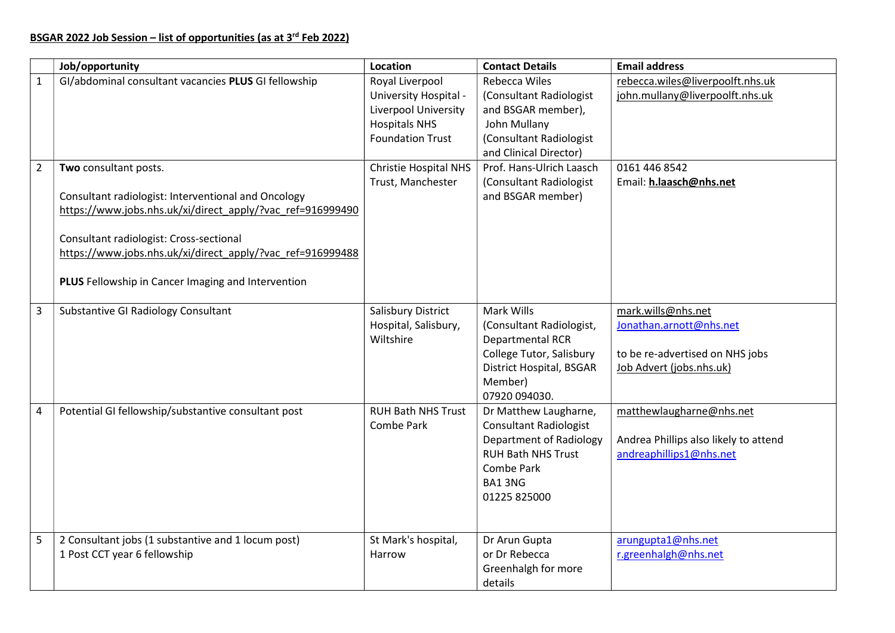|                | Job/opportunity                                                                                                                                                                                                                                                                                           | Location                                                                                                            | <b>Contact Details</b>                                                                                                                                 | <b>Email address</b>                                                                                         |
|----------------|-----------------------------------------------------------------------------------------------------------------------------------------------------------------------------------------------------------------------------------------------------------------------------------------------------------|---------------------------------------------------------------------------------------------------------------------|--------------------------------------------------------------------------------------------------------------------------------------------------------|--------------------------------------------------------------------------------------------------------------|
| $\mathbf{1}$   | GI/abdominal consultant vacancies PLUS GI fellowship                                                                                                                                                                                                                                                      | Royal Liverpool<br>University Hospital -<br>Liverpool University<br><b>Hospitals NHS</b><br><b>Foundation Trust</b> | <b>Rebecca Wiles</b><br>(Consultant Radiologist<br>and BSGAR member),<br>John Mullany<br>(Consultant Radiologist<br>and Clinical Director)             | rebecca.wiles@liverpoolft.nhs.uk<br>john.mullany@liverpoolft.nhs.uk                                          |
| $\overline{2}$ | Two consultant posts.<br>Consultant radiologist: Interventional and Oncology<br>https://www.jobs.nhs.uk/xi/direct_apply/?vac_ref=916999490<br>Consultant radiologist: Cross-sectional<br>https://www.jobs.nhs.uk/xi/direct apply/?vac ref=916999488<br>PLUS Fellowship in Cancer Imaging and Intervention | <b>Christie Hospital NHS</b><br>Trust, Manchester                                                                   | Prof. Hans-Ulrich Laasch<br>(Consultant Radiologist<br>and BSGAR member)                                                                               | 0161 446 8542<br>Email: h.laasch@nhs.net                                                                     |
| 3              | <b>Substantive GI Radiology Consultant</b>                                                                                                                                                                                                                                                                | Salisbury District<br>Hospital, Salisbury,<br>Wiltshire                                                             | Mark Wills<br>(Consultant Radiologist,<br>Departmental RCR<br>College Tutor, Salisbury<br><b>District Hospital, BSGAR</b><br>Member)<br>07920 094030.  | mark.wills@nhs.net<br>Jonathan.arnott@nhs.net<br>to be re-advertised on NHS jobs<br>Job Advert (jobs.nhs.uk) |
| 4              | Potential GI fellowship/substantive consultant post                                                                                                                                                                                                                                                       | <b>RUH Bath NHS Trust</b><br>Combe Park                                                                             | Dr Matthew Laugharne,<br><b>Consultant Radiologist</b><br>Department of Radiology<br><b>RUH Bath NHS Trust</b><br>Combe Park<br>BA13NG<br>01225 825000 | matthewlaugharne@nhs.net<br>Andrea Phillips also likely to attend<br>andreaphillips1@nhs.net                 |
| 5              | 2 Consultant jobs (1 substantive and 1 locum post)<br>1 Post CCT year 6 fellowship                                                                                                                                                                                                                        | St Mark's hospital,<br>Harrow                                                                                       | Dr Arun Gupta<br>or Dr Rebecca<br>Greenhalgh for more<br>details                                                                                       | arungupta1@nhs.net<br>r.greenhalgh@nhs.net                                                                   |